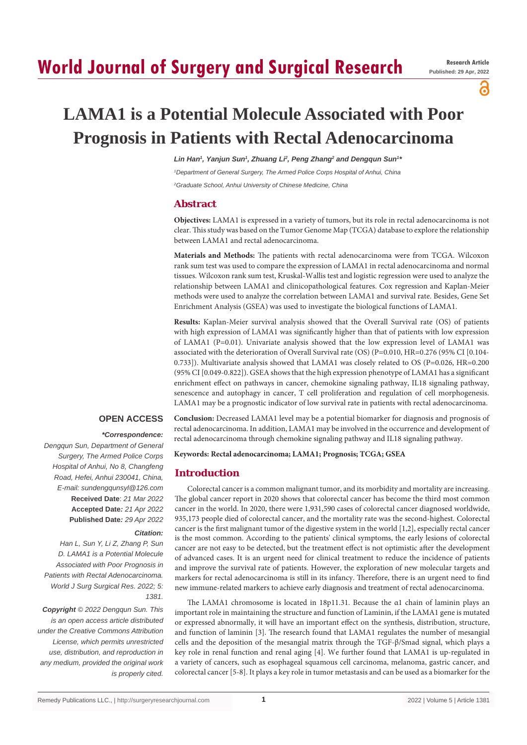# **World Journal of Surgery and Surgical Research**

ဥ

# **LAMA1 is a Potential Molecule Associated with Poor Prognosis in Patients with Rectal Adenocarcinoma**

Lin Han<sup>1</sup>, Yanjun Sun<sup>1</sup>, Zhuang Li<sup>2</sup>, Peng Zhang<sup>2</sup> and Dengqun Sun<sup>13</sup>

*1 Department of General Surgery, The Armed Police Corps Hospital of Anhui, China 2 Graduate School, Anhui University of Chinese Medicine, China*

## **Abstract**

**Objectives:** LAMA1 is expressed in a variety of tumors, but its role in rectal adenocarcinoma is not clear. This study was based on the Tumor Genome Map (TCGA) database to explore the relationship between LAMA1 and rectal adenocarcinoma.

**Materials and Methods:** The patients with rectal adenocarcinoma were from TCGA. Wilcoxon rank sum test was used to compare the expression of LAMA1 in rectal adenocarcinoma and normal tissues. Wilcoxon rank sum test, Kruskal-Wallis test and logistic regression were used to analyze the relationship between LAMA1 and clinicopathological features. Cox regression and Kaplan-Meier methods were used to analyze the correlation between LAMA1 and survival rate. Besides, Gene Set Enrichment Analysis (GSEA) was used to investigate the biological functions of LAMA1.

**Results:** Kaplan-Meier survival analysis showed that the Overall Survival rate (OS) of patients with high expression of LAMA1 was significantly higher than that of patients with low expression of LAMA1 (P=0.01). Univariate analysis showed that the low expression level of LAMA1 was associated with the deterioration of Overall Survival rate (OS) (P=0.010, HR=0.276 (95% CI [0.104- 0.733]). Multivariate analysis showed that LAMA1 was closely related to OS (P=0.026, HR=0.200 (95% CI [0.049-0.822]). GSEA shows that the high expression phenotype of LAMA1 has a significant enrichment effect on pathways in cancer, chemokine signaling pathway, IL18 signaling pathway, senescence and autophagy in cancer, T cell proliferation and regulation of cell morphogenesis. LAMA1 may be a prognostic indicator of low survival rate in patients with rectal adenocarcinoma.

# **OPEN ACCESS**

## *\*Correspondence:*

*Dengqun Sun, Department of General Surgery, The Armed Police Corps Hospital of Anhui, No 8, Changfeng Road, Hefei, Anhui 230041, China, E-mail: sundengqunsyl@126.com* **Received Date**: *21 Mar 2022* **Accepted Date***: 21 Apr 2022* **Published Date***: 29 Apr 2022*

## *Citation:*

*Han L, Sun Y, Li Z, Zhang P, Sun D. LAMA1 is a Potential Molecule Associated with Poor Prognosis in Patients with Rectal Adenocarcinoma. World J Surg Surgical Res. 2022; 5: 1381.*

*Copyright © 2022 Dengqun Sun. This is an open access article distributed under the Creative Commons Attribution License, which permits unrestricted use, distribution, and reproduction in any medium, provided the original work is properly cited.*

**Conclusion:** Decreased LAMA1 level may be a potential biomarker for diagnosis and prognosis of rectal adenocarcinoma. In addition, LAMA1 may be involved in the occurrence and development of rectal adenocarcinoma through chemokine signaling pathway and IL18 signaling pathway.

**Keywords: Rectal adenocarcinoma; LAMA1; Prognosis; TCGA; GSEA**

# **Introduction**

Colorectal cancer is a common malignant tumor, and its morbidity and mortality are increasing. The global cancer report in 2020 shows that colorectal cancer has become the third most common cancer in the world. In 2020, there were 1,931,590 cases of colorectal cancer diagnosed worldwide, 935,173 people died of colorectal cancer, and the mortality rate was the second-highest. Colorectal cancer is the first malignant tumor of the digestive system in the world [1,2], especially rectal cancer is the most common. According to the patients' clinical symptoms, the early lesions of colorectal cancer are not easy to be detected, but the treatment effect is not optimistic after the development of advanced cases. It is an urgent need for clinical treatment to reduce the incidence of patients and improve the survival rate of patients. However, the exploration of new molecular targets and markers for rectal adenocarcinoma is still in its infancy. Therefore, there is an urgent need to find new immune-related markers to achieve early diagnosis and treatment of rectal adenocarcinoma.

The LAMA1 chromosome is located in 18p11.31. Because the α1 chain of laminin plays an important role in maintaining the structure and function of Laminin, if the LAMA1 gene is mutated or expressed abnormally, it will have an important effect on the synthesis, distribution, structure, and function of laminin [3]. The research found that LAMA1 regulates the number of mesangial cells and the deposition of the mesangial matrix through the TGF-β/Smad signal, which plays a key role in renal function and renal aging [4]. We further found that LAMA1 is up-regulated in a variety of cancers, such as esophageal squamous cell carcinoma, melanoma, gastric cancer, and colorectal cancer [5-8]. It plays a key role in tumor metastasis and can be used as a biomarker for the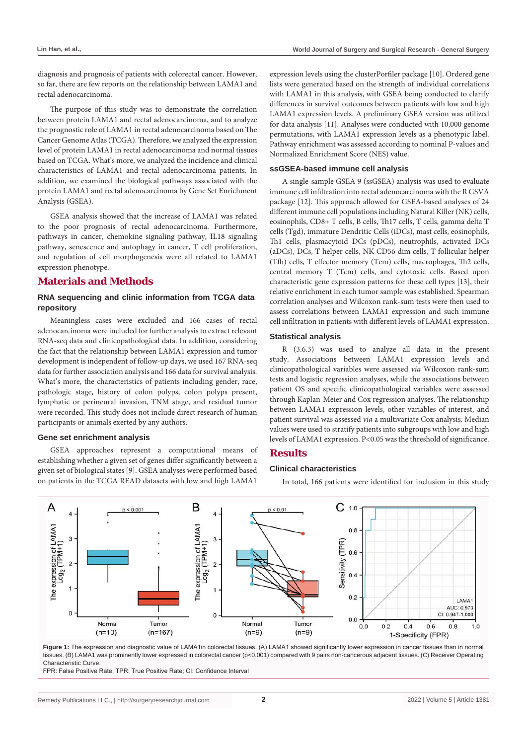diagnosis and prognosis of patients with colorectal cancer. However, so far, there are few reports on the relationship between LAMA1 and rectal adenocarcinoma.

The purpose of this study was to demonstrate the correlation between protein LAMA1 and rectal adenocarcinoma, and to analyze the prognostic role of LAMA1 in rectal adenocarcinoma based on The Cancer Genome Atlas (TCGA). Therefore, we analyzed the expression level of protein LAMA1 in rectal adenocarcinoma and normal tissues based on TCGA. What's more, we analyzed the incidence and clinical characteristics of LAMA1 and rectal adenocarcinoma patients. In addition, we examined the biological pathways associated with the protein LAMA1 and rectal adenocarcinoma by Gene Set Enrichment Analysis (GSEA).

GSEA analysis showed that the increase of LAMA1 was related to the poor prognosis of rectal adenocarcinoma. Furthermore, pathways in cancer, chemokine signaling pathway, IL18 signaling pathway, senescence and autophagy in cancer, T cell proliferation, and regulation of cell morphogenesis were all related to LAMA1 expression phenotype.

# **Materials and Methods**

# **RNA sequencing and clinic information from TCGA data repository**

Meaningless cases were excluded and 166 cases of rectal adenocarcinoma were included for further analysis to extract relevant RNA-seq data and clinicopathological data. In addition, considering the fact that the relationship between LAMA1 expression and tumor development is independent of follow-up days, we used 167 RNA-seq data for further association analysis and 166 data for survival analysis. What's more, the characteristics of patients including gender, race, pathologic stage, history of colon polyps, colon polyps present, lymphatic or perineural invasion, TNM stage, and residual tumor were recorded. This study does not include direct research of human participants or animals exerted by any authors.

#### **Gene set enrichment analysis**

GSEA approaches represent a computational means of establishing whether a given set of genes differ significantly between a given set of biological states [9]. GSEA analyses were performed based on patients in the TCGA READ datasets with low and high LAMA1

expression levels using the clusterPorfiler package [10]. Ordered gene lists were generated based on the strength of individual correlations with LAMA1 in this analysis, with GSEA being conducted to clarify differences in survival outcomes between patients with low and high LAMA1 expression levels. A preliminary GSEA version was utilized for data analysis [11]. Analyses were conducted with 10,000 genome permutations, with LAMA1 expression levels as a phenotypic label. Pathway enrichment was assessed according to nominal P-values and Normalized Enrichment Score (NES) value.

#### **ssGSEA-based immune cell analysis**

A single-sample GSEA 9 (ssGSEA) analysis was used to evaluate immune cell infiltration into rectal adenocarcinoma with the R GSVA package [12]. This approach allowed for GSEA-based analyses of 24 different immune cell populations including Natural Killer (NK) cells, eosinophils, CD8+ T cells, B cells, Th17 cells, T cells, gamma delta T cells (Tgd), immature Dendritic Cells (iDCs), mast cells, eosinophils, Th1 cells, plasmacytoid DCs (pDCs), neutrophils, activated DCs (aDCs), DCs, T helper cells, NK CD56 dim cells, T follicular helper (Tfh) cells, T effector memory (Tem) cells, macrophages, Th2 cells, central memory T (Tcm) cells, and cytotoxic cells. Based upon characteristic gene expression patterns for these cell types [13], their relative enrichment in each tumor sample was established. Spearman correlation analyses and Wilcoxon rank-sum tests were then used to assess correlations between LAMA1 expression and such immune cell infiltration in patients with different levels of LAMA1 expression.

#### **Statistical analysis**

R (3.6.3) was used to analyze all data in the present study. Associations between LAMA1 expression levels and clinicopathological variables were assessed *via* Wilcoxon rank-sum tests and logistic regression analyses, while the associations between patient OS and specific clinicopathological variables were assessed through Kaplan-Meier and Cox regression analyses. The relationship between LAMA1 expression levels, other variables of interest, and patient survival was assessed *via* a multivariate Cox analysis. Median values were used to stratify patients into subgroups with low and high levels of LAMA1 expression. P<0.05 was the threshold of significance.

# **Results**

#### **Clinical characteristics**

In total, 166 patients were identified for inclusion in this study



Figure 1: The expression and diagnostic value of LAMA1in colorectal tissues. (A) LAMA1 showed significantly lower expression in cancer tissues than in normal tissues. (B) LAMA1 was prominently lower expressed in colorectal cancer (p<0.001) compared with 9 pairs non-cancerous adjacent tissues. (C) Receiver Operating Characteristic Curve.

FPR: False Positive Rate; TPR: True Positive Rate; CI: Confidence Interval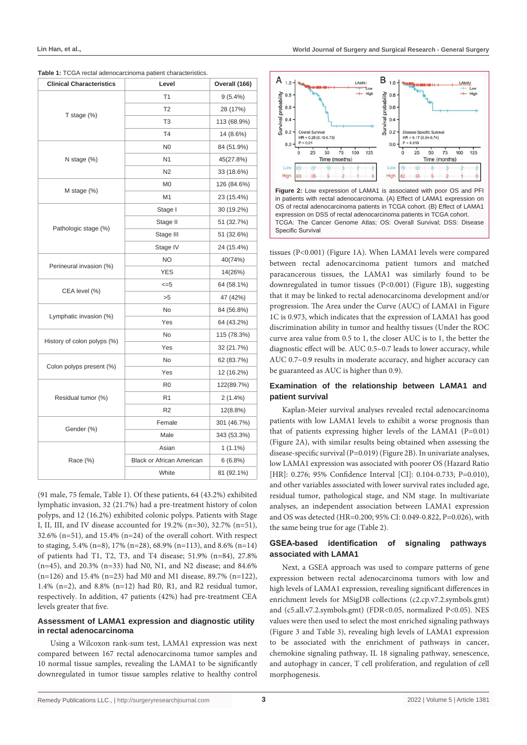|                             | T1                               | $9(5.4\%)$  |
|-----------------------------|----------------------------------|-------------|
|                             | T <sub>2</sub>                   | 28 (17%)    |
| T stage $(\%)$              | T <sub>3</sub>                   | 113 (68.9%) |
|                             | T <sub>4</sub>                   | 14 (8.6%)   |
|                             | N <sub>0</sub>                   | 84 (51.9%)  |
| N stage $(\%)$              | N <sub>1</sub>                   | 45(27.8%)   |
|                             | N <sub>2</sub>                   | 33 (18.6%)  |
|                             | M <sub>0</sub>                   | 126 (84.6%) |
| M stage $(\%)$              | M1                               | 23 (15.4%)  |
| Pathologic stage (%)        | Stage I                          | 30 (19.2%)  |
|                             | Stage II                         | 51 (32.7%)  |
|                             | Stage III                        | 51 (32.6%)  |
|                             | Stage IV                         | 24 (15.4%)  |
|                             | <b>NO</b>                        | 40(74%)     |
| Perineural invasion (%)     | <b>YES</b>                       | 14(26%)     |
|                             | $\leq$ =5                        | 64 (58.1%)  |
| CEA level (%)               | >5                               | 47 (42%)    |
|                             | No                               | 84 (56.8%)  |
| Lymphatic invasion (%)      | Yes                              | 64 (43.2%)  |
|                             | No                               | 115 (78.3%) |
| History of colon polyps (%) | Yes                              | 32 (21.7%)  |
|                             | No                               | 62 (83.7%)  |
| Colon polyps present (%)    | Yes                              | 12 (16.2%)  |
|                             | R <sub>0</sub>                   | 122(89.7%)  |
| Residual tumor (%)          | R <sub>1</sub>                   | 2(1.4%)     |
|                             | R <sub>2</sub>                   | 12(8.8%)    |
|                             | Female                           | 301 (46.7%) |
| Gender (%)                  | Male                             | 343 (53.3%) |
|                             | Asian                            | $1(1.1\%)$  |
| Race (%)                    | <b>Black or African American</b> | 6(6.8%)     |
|                             | White                            | 81 (92.1%)  |
|                             |                                  |             |

**Clinical Characteristics Level Overall (166)**

(91 male, 75 female, Table 1). Of these patients, 64 (43.2%) exhibited lymphatic invasion, 32 (21.7%) had a pre-treatment history of colon polyps, and 12 (16.2%) exhibited colonic polyps. Patients with Stage I, II, III, and IV disease accounted for 19.2% (n=30), 32.7% (n=51), 32.6% (n=51), and 15.4% (n=24) of the overall cohort. With respect to staging, 5.4% (n=8), 17% (n=28), 68.9% (n=113), and 8.6% (n=14) of patients had T1, T2, T3, and T4 disease; 51.9% (n=84), 27.8% (n=45), and 20.3% (n=33) had N0, N1, and N2 disease; and 84.6% (n=126) and 15.4% (n=23) had M0 and M1 disease, 89.7% (n=122), 1.4% (n=2), and 8.8% (n=12) had R0, R1, and R2 residual tumor, respectively. In addition, 47 patients (42%) had pre-treatment CEA levels greater that five.

## **Assessment of LAMA1 expression and diagnostic utility in rectal adenocarcinoma**

Using a Wilcoxon rank-sum test, LAMA1 expression was next compared between 167 rectal adenocarcinoma tumor samples and 10 normal tissue samples, revealing the LAMA1 to be significantly downregulated in tumor tissue samples relative to healthy control



**Figure 2:** Low expression of LAMA1 is associated with poor OS and PFI in patients with rectal adenocarcinoma. (A) Effect of LAMA1 expression on OS of rectal adenocarcinoma patients in TCGA cohort. (B) Effect of LAMA1 expression on DSS of rectal adenocarcinoma patients in TCGA cohort. TCGA: The Cancer Genome Atlas; OS: Overall Survival; DSS: Disease Specific Survival

tissues (P<0.001) (Figure 1A). When LAMA1 levels were compared between rectal adenocarcinoma patient tumors and matched paracancerous tissues, the LAMA1 was similarly found to be downregulated in tumor tissues (P<0.001) (Figure 1B), suggesting that it may be linked to rectal adenocarcinoma development and/or progression. The Area under the Curve (AUC) of LAMA1 in Figure 1C is 0.973, which indicates that the expression of LAMA1 has good discrimination ability in tumor and healthy tissues (Under the ROC curve area value from 0.5 to 1, the closer AUC is to 1, the better the diagnostic effect will be. AUC 0.5~0.7 leads to lower accuracy, while AUC 0.7~0.9 results in moderate accuracy, and higher accuracy can be guaranteed as AUC is higher than 0.9).

# **Examination of the relationship between LAMA1 and patient survival**

Kaplan-Meier survival analyses revealed rectal adenocarcinoma patients with low LAMA1 levels to exhibit a worse prognosis than that of patients expressing higher levels of the LAMA1 (P=0.01) (Figure 2A), with similar results being obtained when assessing the disease-specific survival (P=0.019) (Figure 2B). In univariate analyses, low LAMA1 expression was associated with poorer OS (Hazard Ratio [HR]: 0.276; 95% Confidence Interval [CI]: 0.104-0.733; P=0.010), and other variables associated with lower survival rates included age, residual tumor, pathological stage, and NM stage. In multivariate analyses, an independent association between LAMA1 expression and OS was detected (HR=0.200; 95% CI: 0.049-0.822, P=0.026), with the same being true for age (Table 2).

# **GSEA-based identification of signaling pathways associated with LAMA1**

Next, a GSEA approach was used to compare patterns of gene expression between rectal adenocarcinoma tumors with low and high levels of LAMA1 expression, revealing significant differences in enrichment levels for MSigDB collections (c2.cp.v7.2.symbols.gmt) and (c5.all.v7.2.symbols.gmt) (FDR<0.05, normalized P<0.05). NES values were then used to select the most enriched signaling pathways (Figure 3 and Table 3), revealing high levels of LAMA1 expression to be associated with the enrichment of pathways in cancer, chemokine signaling pathway, IL 18 signaling pathway, senescence, and autophagy in cancer, T cell proliferation, and regulation of cell morphogenesis.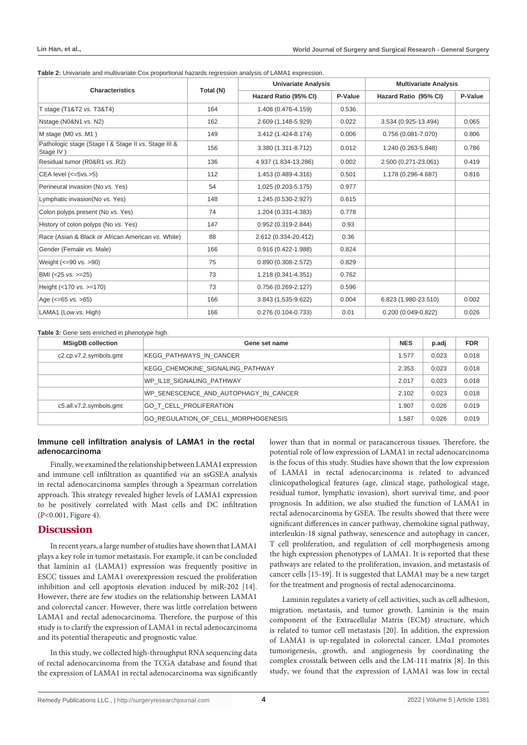| Table 2: Univariate and multivariate Cox proportional hazards regression analysis of LAMA1 expression. |  |  |
|--------------------------------------------------------------------------------------------------------|--|--|
|                                                                                                        |  |  |

|                                                                   |           | <b>Univariate Analysis</b> |         | <b>Multivariate Analysis</b> |         |
|-------------------------------------------------------------------|-----------|----------------------------|---------|------------------------------|---------|
| <b>Characteristics</b>                                            | Total (N) | Hazard Ratio (95% CI)      | P-Value | Hazard Ratio (95% CI)        | P-Value |
| T stage (T1&T2 vs. T3&T4)                                         | 164       | 1.408 (0.476-4.159)        | 0.536   |                              |         |
| Nstage (N0&N1 vs. N2)                                             | 162       | 2.609 (1.148-5.929)        | 0.022   | 3.534 (0.925-13.494)         | 0.065   |
| M stage (M0 vsM1)                                                 | 149       | 3.412 (1.424-8.174)        | 0.006   | 0.756 (0.081-7.070)          | 0.806   |
| Pathologic stage (Stage I & Stage II vs. Stage III &<br>Stage IV) | 156       | 3.380 (1.311-8.712)        | 0.012   | 1.240 (0.263-5.848)          | 0.786   |
| Residual tumor (R0&R1 vsR2)                                       | 136       | 4.937 (1.834-13.286)       | 0.002   | 2.500 (0.271-23.061)         | 0.419   |
| $CEA$ level $\left( \leq 5$ vs. > 5)                              | 112       | 1.453 (0.489-4.316)        | 0.501   | 1.178 (0.296-4.687)          | 0.816   |
| Perineural invasion (No vs. Yes)                                  | 54        | 1.025 (0.203-5.175)        | 0.977   |                              |         |
| Lymphatic invasion(No vs. Yes)                                    | 148       | 1.245 (0.530-2.927)        | 0.615   |                              |         |
| Colon polyps present (No vs. Yes)                                 | 74        | 1.204 (0.331-4.383)        | 0.778   |                              |         |
| History of colon polyps (No vs. Yes)                              | 147       | $0.952(0.319 - 2.844)$     | 0.93    |                              |         |
| Race (Asian & Black or African American vs. White)                | 88        | 2.612 (0.334-20.412)       | 0.36    |                              |         |
| Gender (Female vs. Male)                                          | 166       | 0.916 (0.422-1.988)        | 0.824   |                              |         |
| Weight (<= 90 vs. > 90)                                           | 75        | $0.890(0.308 - 2.572)$     | 0.829   |                              |         |
| BMI (< $25$ vs. >= $25$ )                                         | 73        | 1.218 (0.341-4.351)        | 0.762   |                              |         |
| Height (<170 vs. >=170)                                           | 73        | $0.756(0.269 - 2.127)$     | 0.596   |                              |         |
| Age $(<=65$ vs. $>65$ )                                           | 166       | 3.843 (1.535-9.622)        | 0.004   | 6.823 (1.980-23.510)         | 0.002   |
| LAMA1 (Low vs. High)                                              | 166       | $0.276(0.104 - 0.733)$     | 0.01    | $0.200(0.049 - 0.822)$       | 0.026   |

#### **Table 3:** Gene sets enriched in phenotype high.

| <b>MSigDB collection</b> | Gene set name                              | <b>NES</b> | p.adj | <b>FDR</b> |
|--------------------------|--------------------------------------------|------------|-------|------------|
| c2.cp.v7.2.symbols.gmt   | <b>KEGG PATHWAYS IN CANCER</b>             | 1.577      | 0.023 | 0.018      |
|                          | KEGG CHEMOKINE SIGNALING PATHWAY           | 2.353      | 0.023 | 0.018      |
|                          | WP IL18 SIGNALING PATHWAY                  | 2.017      | 0.023 | 0.018      |
|                          | WP SENESCENCE AND AUTOPHAGY IN CANCER      | 2.102      | 0.023 | 0.018      |
| c5.all.v7.2.symbols.gmt  | <b>GO T CELL PROLIFERATION</b>             | 1.907      | 0.026 | 0.019      |
|                          | <b>GO REGULATION OF CELL MORPHOGENESIS</b> | 1.587      | 0.026 | 0.019      |

# **Immune cell infiltration analysis of LAMA1 in the rectal adenocarcinoma**

Finally, we examined the relationship between LAMA1 expression and immune cell infiltration as quantified *via* an ssGSEA analysis in rectal adenocarcinoma samples through a Spearman correlation approach. This strategy revealed higher levels of LAMA1 expression to be positively correlated with Mast cells and DC infiltration (P<0.001, Figure 4).

# **Discussion**

In recent years, a large number of studies have shown that LAMA1 plays a key role in tumor metastasis. For example, it can be concluded that laminin α1 (LAMA1) expression was frequently positive in ESCC tissues and LAMA1 overexpression rescued the proliferation inhibition and cell apoptosis elevation induced by miR-202 [14]. However, there are few studies on the relationship between LAMA1 and colorectal cancer. However, there was little correlation between LAMA1 and rectal adenocarcinoma. Therefore, the purpose of this study is to clarify the expression of LAMA1 in rectal adenocarcinoma and its potential therapeutic and prognostic value.

In this study, we collected high-throughput RNA sequencing data of rectal adenocarcinoma from the TCGA database and found that the expression of LAMA1 in rectal adenocarcinoma was significantly lower than that in normal or paracancerous tissues. Therefore, the potential role of low expression of LAMA1 in rectal adenocarcinoma is the focus of this study. Studies have shown that the low expression of LAMA1 in rectal adenocarcinoma is related to advanced clinicopathological features (age, clinical stage, pathological stage, residual tumor, lymphatic invasion), short survival time, and poor prognosis. In addition, we also studied the function of LAMA1 in rectal adenocarcinoma by GSEA. The results showed that there were significant differences in cancer pathway, chemokine signal pathway, interleukin-18 signal pathway, senescence and autophagy in cancer, T cell proliferation, and regulation of cell morphogenesis among the high expression phenotypes of LAMA1. It is reported that these pathways are related to the proliferation, invasion, and metastasis of cancer cells [15-19]. It is suggested that LAMA1 may be a new target for the treatment and prognosis of rectal adenocarcinoma.

Laminin regulates a variety of cell activities, such as cell adhesion, migration, metastasis, and tumor growth. Laminin is the main component of the Extracellular Matrix (ECM) structure, which is related to tumor cell metastasis [20]. In addition, the expression of LAMA1 is up-regulated in colorectal cancer. LMα1 promotes tumorigenesis, growth, and angiogenesis by coordinating the complex crosstalk between cells and the LM-111 matrix [8]. In this study, we found that the expression of LAMA1 was low in rectal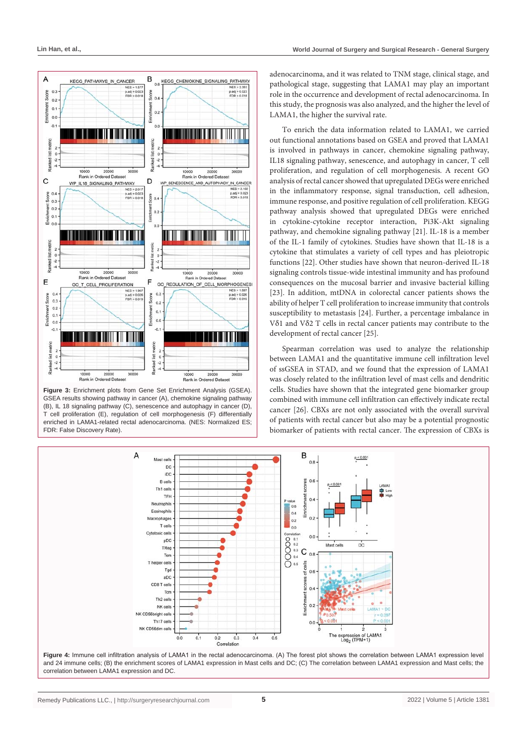

**Figure 3:** Enrichment plots from Gene Set Enrichment Analysis (GSEA). GSEA results showing pathway in cancer (A), chemokine signaling pathway (B), IL 18 signaling pathway (C), senescence and autophagy in cancer (D), T cell proliferation (E), regulation of cell morphogenesis (F) differentially enriched in LAMA1-related rectal adenocarcinoma. (NES: Normalized ES; FDR: False Discovery Rate).

adenocarcinoma, and it was related to TNM stage, clinical stage, and pathological stage, suggesting that LAMA1 may play an important role in the occurrence and development of rectal adenocarcinoma. In this study, the prognosis was also analyzed, and the higher the level of LAMA1, the higher the survival rate.

To enrich the data information related to LAMA1, we carried out functional annotations based on GSEA and proved that LAMA1 is involved in pathways in cancer, chemokine signaling pathway, IL18 signaling pathway, senescence, and autophagy in cancer, T cell proliferation, and regulation of cell morphogenesis. A recent GO analysis of rectal cancer showed that upregulated DEGs were enriched in the inflammatory response, signal transduction, cell adhesion, immune response, and positive regulation of cell proliferation. KEGG pathway analysis showed that upregulated DEGs were enriched in cytokine-cytokine receptor interaction, Pi3K-Akt signaling pathway, and chemokine signaling pathway [21]. IL-18 is a member of the IL-1 family of cytokines. Studies have shown that IL-18 is a cytokine that stimulates a variety of cell types and has pleiotropic functions [22]. Other studies have shown that neuron-derived IL-18 signaling controls tissue-wide intestinal immunity and has profound consequences on the mucosal barrier and invasive bacterial killing [23]. In addition, mtDNA in colorectal cancer patients shows the ability of helper T cell proliferation to increase immunity that controls susceptibility to metastasis [24]. Further, a percentage imbalance in Vδ1 and Vδ2 T cells in rectal cancer patients may contribute to the development of rectal cancer [25].

Spearman correlation was used to analyze the relationship between LAMA1 and the quantitative immune cell infiltration level of ssGSEA in STAD, and we found that the expression of LAMA1 was closely related to the infiltration level of mast cells and dendritic cells. Studies have shown that the integrated gene biomarker group combined with immune cell infiltration can effectively indicate rectal cancer [26]. CBXs are not only associated with the overall survival of patients with rectal cancer but also may be a potential prognostic biomarker of patients with rectal cancer. The expression of CBXs is



and 24 immune cells; (B) the enrichment scores of LAMA1 expression in Mast cells and DC; (C) The correlation between LAMA1 expression and Mast cells; the correlation between LAMA1 expression and DC.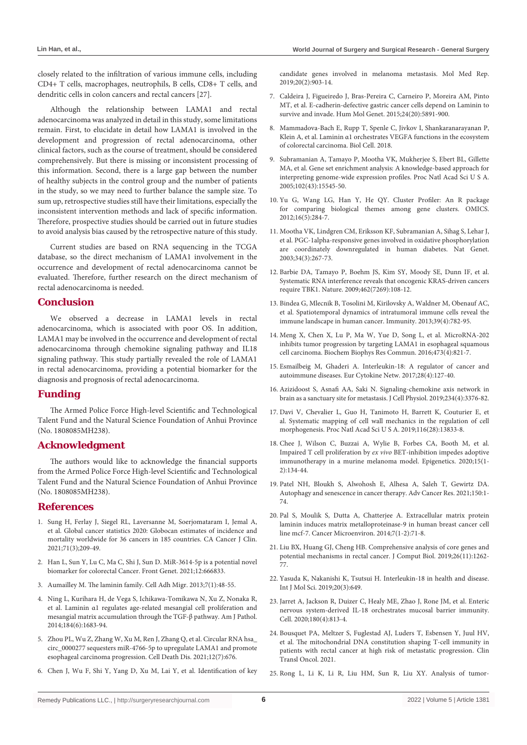closely related to the infiltration of various immune cells, including CD4+ T cells, macrophages, neutrophils, B cells, CD8+ T cells, and dendritic cells in colon cancers and rectal cancers [27].

Although the relationship between LAMA1 and rectal adenocarcinoma was analyzed in detail in this study, some limitations remain. First, to elucidate in detail how LAMA1 is involved in the development and progression of rectal adenocarcinoma, other clinical factors, such as the course of treatment, should be considered comprehensively. But there is missing or inconsistent processing of this information. Second, there is a large gap between the number of healthy subjects in the control group and the number of patients in the study, so we may need to further balance the sample size. To sum up, retrospective studies still have their limitations, especially the inconsistent intervention methods and lack of specific information. Therefore, prospective studies should be carried out in future studies to avoid analysis bias caused by the retrospective nature of this study.

Current studies are based on RNA sequencing in the TCGA database, so the direct mechanism of LAMA1 involvement in the occurrence and development of rectal adenocarcinoma cannot be evaluated. Therefore, further research on the direct mechanism of rectal adenocarcinoma is needed.

# **Conclusion**

We observed a decrease in LAMA1 levels in rectal adenocarcinoma, which is associated with poor OS. In addition, LAMA1 may be involved in the occurrence and development of rectal adenocarcinoma through chemokine signaling pathway and IL18 signaling pathway. This study partially revealed the role of LAMA1 in rectal adenocarcinoma, providing a potential biomarker for the diagnosis and prognosis of rectal adenocarcinoma.

# **Funding**

The Armed Police Force High-level Scientific and Technological Talent Fund and the Natural Science Foundation of Anhui Province (No. 1808085MH238).

# **Acknowledgment**

The authors would like to acknowledge the financial supports from the Armed Police Force High-level Scientific and Technological Talent Fund and the Natural Science Foundation of Anhui Province (No. 1808085MH238).

# **References**

- 1. [Sung H, Ferlay J, Siegel RL, Laversanne M, Soerjomataram I, Jemal A,](https://acsjournals.onlinelibrary.wiley.com/doi/full/10.3322/caac.21660)  [et al. Global cancer statistics 2020: Globocan estimates of incidence and](https://acsjournals.onlinelibrary.wiley.com/doi/full/10.3322/caac.21660)  [mortality worldwide for 36 cancers in 185 countries. CA Cancer J Clin.](https://acsjournals.onlinelibrary.wiley.com/doi/full/10.3322/caac.21660)  [2021;71\(3\);209-49.](https://acsjournals.onlinelibrary.wiley.com/doi/full/10.3322/caac.21660)
- 2. [Han L, Sun Y, Lu C, Ma C, Shi J, Sun D. MiR-3614-5p is a potential novel](https://pubmed.ncbi.nlm.nih.gov/34127929/)  [biomarker for colorectal Cancer. Front Genet. 2021;12:666833.](https://pubmed.ncbi.nlm.nih.gov/34127929/)
- 3. [Aumailley M. The laminin family. Cell Adh Migr. 2013;7\(1\):48-55.](https://pubmed.ncbi.nlm.nih.gov/23263632/)
- 4. [Ning L, Kurihara H, de Vega S, Ichikawa-Tomikawa N, Xu Z, Nonaka R,](https://pubmed.ncbi.nlm.nih.gov/24720953/)  [et al. Laminin α1 regulates age-related mesangial cell proliferation and](https://pubmed.ncbi.nlm.nih.gov/24720953/)  [mesangial matrix accumulation through the TGF-β pathway. Am J Pathol.](https://pubmed.ncbi.nlm.nih.gov/24720953/)  [2014;184\(6\):1683-94.](https://pubmed.ncbi.nlm.nih.gov/24720953/)
- 5. [Zhou PL, Wu Z, Zhang W, Xu M, Ren J, Zhang Q, et al. Circular RNA hsa\\_](https://pubmed.ncbi.nlm.nih.gov/34226522/) [circ\\_0000277 sequesters miR-4766-5p to upregulate LAMA1 and promote](https://pubmed.ncbi.nlm.nih.gov/34226522/)  [esophageal carcinoma progression. Cell Death Dis. 2021;12\(7\):676.](https://pubmed.ncbi.nlm.nih.gov/34226522/)
- 6. [Chen J, Wu F, Shi Y, Yang D, Xu M, Lai Y, et al. Identification of key](https://pubmed.ncbi.nlm.nih.gov/31173190/)

[candidate genes involved in melanoma metastasis. Mol Med Rep.](https://pubmed.ncbi.nlm.nih.gov/31173190/)  [2019;20\(2\):903-14.](https://pubmed.ncbi.nlm.nih.gov/31173190/)

- 7. [Caldeira J, Figueiredo J, Bras-Pereira C, Carneiro P, Moreira AM, Pinto](https://pubmed.ncbi.nlm.nih.gov/26246502/)  [MT, et al. E-cadherin-defective gastric cancer cells depend on Laminin to](https://pubmed.ncbi.nlm.nih.gov/26246502/)  [survive and invade. Hum Mol Genet. 2015;24\(20\):5891-900.](https://pubmed.ncbi.nlm.nih.gov/26246502/)
- 8. [Mammadova-Bach E, Rupp T, Spenle C, Jivkov I, Shankaranarayanan P,](https://pubmed.ncbi.nlm.nih.gov/29907957/)  [Klein A, et al. Laminin α1 orchestrates VEGFA functions in the ecosystem](https://pubmed.ncbi.nlm.nih.gov/29907957/)  [of colorectal carcinoma. Biol Cell. 2018.](https://pubmed.ncbi.nlm.nih.gov/29907957/)
- 9. [Subramanian A, Tamayo P, Mootha VK, Mukherjee S, Ebert BL, Gillette](https://pubmed.ncbi.nlm.nih.gov/16199517/)  [MA, et al. Gene set enrichment analysis: A knowledge-based approach for](https://pubmed.ncbi.nlm.nih.gov/16199517/)  [interpreting genome-wide expression profiles. Proc Natl Acad Sci U S A.](https://pubmed.ncbi.nlm.nih.gov/16199517/)  [2005;102\(43\):15545-50.](https://pubmed.ncbi.nlm.nih.gov/16199517/)
- 10. [Yu G, Wang LG, Han Y, He QY. Cluster Profiler: An R package](https://pubmed.ncbi.nlm.nih.gov/22455463/)  [for comparing biological themes among gene clusters. OMICS.](https://pubmed.ncbi.nlm.nih.gov/22455463/)  [2012;16\(5\):284-7.](https://pubmed.ncbi.nlm.nih.gov/22455463/)
- 11. [Mootha VK, Lindgren CM, Eriksson KF, Subramanian A, Sihag S, Lehar J,](https://pubmed.ncbi.nlm.nih.gov/12808457/)  [et al. PGC-1alpha-responsive genes involved in oxidative phosphorylation](https://pubmed.ncbi.nlm.nih.gov/12808457/)  [are coordinately downregulated in human diabetes. Nat Genet.](https://pubmed.ncbi.nlm.nih.gov/12808457/)  [2003;34\(3\):267-73.](https://pubmed.ncbi.nlm.nih.gov/12808457/)
- 12. [Barbie DA, Tamayo P, Boehm JS, Kim SY, Moody SE, Dunn IF, et al.](https://pubmed.ncbi.nlm.nih.gov/19847166/)  [Systematic RNA interference reveals that oncogenic KRAS-driven cancers](https://pubmed.ncbi.nlm.nih.gov/19847166/)  [require TBK1. Nature. 2009;462\(7269\):108-12.](https://pubmed.ncbi.nlm.nih.gov/19847166/)
- 13. [Bindea G, Mlecnik B, Tosolini M, Kirilovsky A, Waldner M, Obenauf AC,](file:///D:/Remedy%20Journals/WJSSR/V5/I/v)  [et al. Spatiotemporal dynamics of intratumoral immune cells reveal the](file:///D:/Remedy%20Journals/WJSSR/V5/I/v)  [immune landscape in human cancer. Immunity. 2013;39\(4\):782-95.](file:///D:/Remedy%20Journals/WJSSR/V5/I/v)
- 14. [Meng X, Chen X, Lu P, Ma W, Yue D, Song L, et al. MicroRNA-202](https://pubmed.ncbi.nlm.nih.gov/27045085/)  [inhibits tumor progression by targeting LAMA1 in esophageal squamous](https://pubmed.ncbi.nlm.nih.gov/27045085/)  [cell carcinoma. Biochem Biophys Res Commun. 2016;473\(4\):821-7.](https://pubmed.ncbi.nlm.nih.gov/27045085/)
- 15. [Esmailbeig M, Ghaderi A. Interleukin-18: A regulator of cancer and](https://pubmed.ncbi.nlm.nih.gov/29478963/)  [autoimmune diseases. Eur Cytokine Netw. 2017;28\(4\):127-40.](https://pubmed.ncbi.nlm.nih.gov/29478963/)
- 16. [Azizidoost S, Asnafi AA, Saki N. Signaling-chemokine axis network in](https://pubmed.ncbi.nlm.nih.gov/30187487/)  [brain as a sanctuary site for metastasis. J Cell Physiol. 2019;234\(4\):3376-82.](https://pubmed.ncbi.nlm.nih.gov/30187487/)
- 17. [Davi V, Chevalier L, Guo H, Tanimoto H, Barrett K, Couturier E, et](https://pubmed.ncbi.nlm.nih.gov/31235592/)  [al. Systematic mapping of cell wall mechanics in the regulation of cell](https://pubmed.ncbi.nlm.nih.gov/31235592/)  [morphogenesis. Proc Natl Acad Sci U S A. 2019;116\(28\):13833-8.](https://pubmed.ncbi.nlm.nih.gov/31235592/)
- 18. [Chee J, Wilson C, Buzzai A, Wylie B, Forbes CA, Booth M, et al.](https://pubmed.ncbi.nlm.nih.gov/31423932/)  Impaired T cell proliferation by *ex vivo* [BET-inhibition impedes adoptive](https://pubmed.ncbi.nlm.nih.gov/31423932/)  [immunotherapy in a murine melanoma model. Epigenetics. 2020;15\(1-](https://pubmed.ncbi.nlm.nih.gov/31423932/) [2\):134-44.](https://pubmed.ncbi.nlm.nih.gov/31423932/)
- 19. [Patel NH, Bloukh S, Alwohosh E, Alhesa A, Saleh T, Gewirtz DA.](https://pubmed.ncbi.nlm.nih.gov/33858594/)  [Autophagy and senescence in cancer therapy. Adv Cancer Res. 2021;150:1-](https://pubmed.ncbi.nlm.nih.gov/33858594/) [74.](https://pubmed.ncbi.nlm.nih.gov/33858594/)
- 20. [Pal S, Moulik S, Dutta A, Chatterjee A. Extracellular matrix protein](https://pubmed.ncbi.nlm.nih.gov/24858419/)  [laminin induces matrix metalloproteinase-9 in human breast cancer cell](https://pubmed.ncbi.nlm.nih.gov/24858419/)  [line mcf-7. Cancer Microenviron. 2014;7\(1-2\):71-8.](https://pubmed.ncbi.nlm.nih.gov/24858419/)
- 21. [Liu BX, Huang GJ, Cheng HB. Comprehensive analysis of core genes and](https://pubmed.ncbi.nlm.nih.gov/31211595/)  [potential mechanisms in rectal cancer. J Comput Biol. 2019;26\(11\):1262-](https://pubmed.ncbi.nlm.nih.gov/31211595/) [77.](https://pubmed.ncbi.nlm.nih.gov/31211595/)
- 22. [Yasuda K, Nakanishi K, Tsutsui H. Interleukin-18 in health and disease.](https://pubmed.ncbi.nlm.nih.gov/30717382/)  [Int J Mol Sci. 2019;20\(3\):649.](https://pubmed.ncbi.nlm.nih.gov/30717382/)
- 23. Jarret A, Jackson R, Duizer C, Healy ME, Zhao J, Rone JM, et al. Enteric nervous system-derived IL-18 orchestrates mucosal barrier immunity. Cell. 2020;180(4):813-4.
- 24. [Bousquet PA, Meltzer S, Fuglestad AJ, Luders T, Esbensen Y, Juul HV,](https://pubmed.ncbi.nlm.nih.gov/34961902/)  [et al. The mitochondrial DNA constitution shaping T-cell immunity in](https://pubmed.ncbi.nlm.nih.gov/34961902/)  [patients with rectal cancer at high risk of metastatic progression. Clin](https://pubmed.ncbi.nlm.nih.gov/34961902/)  [Transl Oncol. 2021.](https://pubmed.ncbi.nlm.nih.gov/34961902/)
- 25. [Rong L, Li K, Li R, Liu HM, Sun R, Liu XY. Analysis of tumor-](https://pubmed.ncbi.nlm.nih.gov/27053849/)